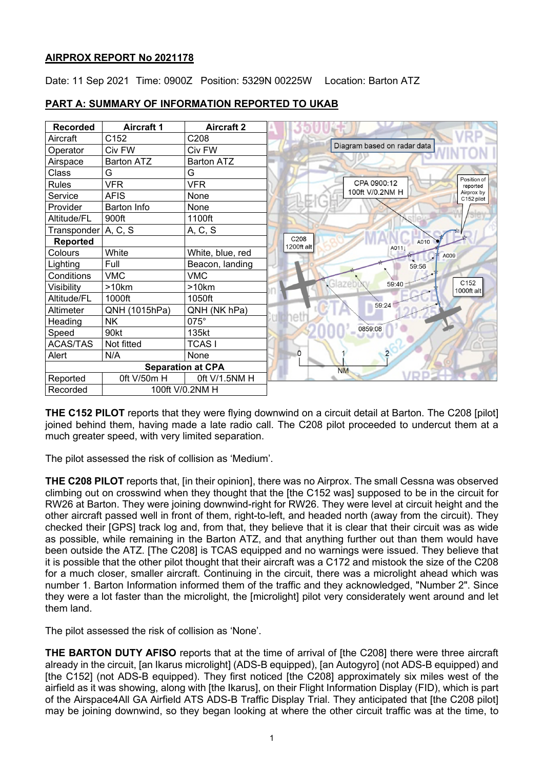# **AIRPROX REPORT No 2021178**

Date: 11 Sep 2021 Time: 0900Z Position: 5329N 00225W Location: Barton ATZ



# **PART A: SUMMARY OF INFORMATION REPORTED TO UKAB**

**THE C152 PILOT** reports that they were flying downwind on a circuit detail at Barton. The C208 [pilot] joined behind them, having made a late radio call. The C208 pilot proceeded to undercut them at a much greater speed, with very limited separation.

The pilot assessed the risk of collision as 'Medium'.

**THE C208 PILOT** reports that, [in their opinion], there was no Airprox. The small Cessna was observed climbing out on crosswind when they thought that the [the C152 was] supposed to be in the circuit for RW26 at Barton. They were joining downwind-right for RW26. They were level at circuit height and the other aircraft passed well in front of them, right-to-left, and headed north (away from the circuit). They checked their [GPS] track log and, from that, they believe that it is clear that their circuit was as wide as possible, while remaining in the Barton ATZ, and that anything further out than them would have been outside the ATZ. [The C208] is TCAS equipped and no warnings were issued. They believe that it is possible that the other pilot thought that their aircraft was a C172 and mistook the size of the C208 for a much closer, smaller aircraft. Continuing in the circuit, there was a microlight ahead which was number 1. Barton Information informed them of the traffic and they acknowledged, "Number 2". Since they were a lot faster than the microlight, the [microlight] pilot very considerately went around and let them land.

The pilot assessed the risk of collision as 'None'.

**THE BARTON DUTY AFISO** reports that at the time of arrival of [the C208] there were three aircraft already in the circuit, [an Ikarus microlight] (ADS-B equipped), [an Autogyro] (not ADS-B equipped) and [the C152] (not ADS-B equipped). They first noticed [the C208] approximately six miles west of the airfield as it was showing, along with [the Ikarus], on their Flight Information Display (FID), which is part of the Airspace4All GA Airfield ATS ADS-B Traffic Display Trial. They anticipated that [the C208 pilot] may be joining downwind, so they began looking at where the other circuit traffic was at the time, to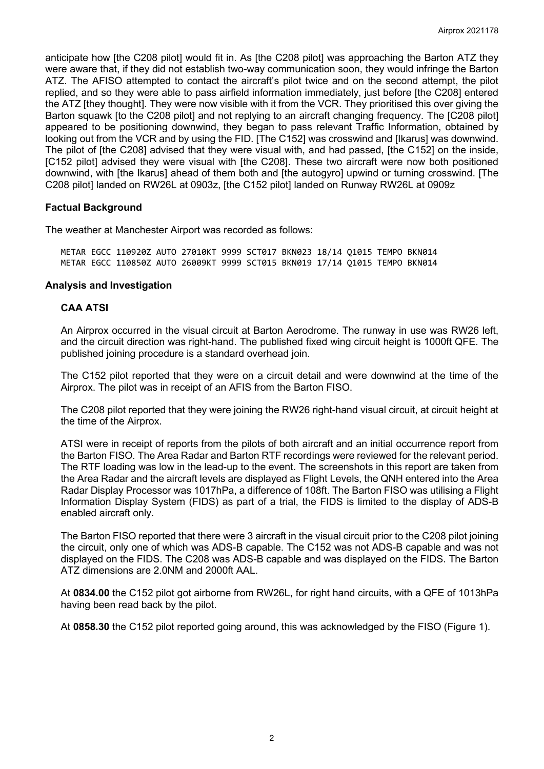anticipate how [the C208 pilot] would fit in. As [the C208 pilot] was approaching the Barton ATZ they were aware that, if they did not establish two-way communication soon, they would infringe the Barton ATZ. The AFISO attempted to contact the aircraft's pilot twice and on the second attempt, the pilot replied, and so they were able to pass airfield information immediately, just before [the C208] entered the ATZ [they thought]. They were now visible with it from the VCR. They prioritised this over giving the Barton squawk [to the C208 pilot] and not replying to an aircraft changing frequency. The [C208 pilot] appeared to be positioning downwind, they began to pass relevant Traffic Information, obtained by looking out from the VCR and by using the FID. [The C152] was crosswind and [Ikarus] was downwind. The pilot of [the C208] advised that they were visual with, and had passed, [the C152] on the inside, [C152 pilot] advised they were visual with [the C208]. These two aircraft were now both positioned downwind, with [the Ikarus] ahead of them both and [the autogyro] upwind or turning crosswind. [The C208 pilot] landed on RW26L at 0903z, [the C152 pilot] landed on Runway RW26L at 0909z

# **Factual Background**

The weather at Manchester Airport was recorded as follows:

METAR EGCC 110920Z AUTO 27010KT 9999 SCT017 BKN023 18/14 Q1015 TEMPO BKN014 METAR EGCC 110850Z AUTO 26009KT 9999 SCT015 BKN019 17/14 Q1015 TEMPO BKN014

# **Analysis and Investigation**

# **CAA ATSI**

An Airprox occurred in the visual circuit at Barton Aerodrome. The runway in use was RW26 left, and the circuit direction was right-hand. The published fixed wing circuit height is 1000ft QFE. The published joining procedure is a standard overhead join.

The C152 pilot reported that they were on a circuit detail and were downwind at the time of the Airprox. The pilot was in receipt of an AFIS from the Barton FISO.

The C208 pilot reported that they were joining the RW26 right-hand visual circuit, at circuit height at the time of the Airprox.

ATSI were in receipt of reports from the pilots of both aircraft and an initial occurrence report from the Barton FISO. The Area Radar and Barton RTF recordings were reviewed for the relevant period. The RTF loading was low in the lead-up to the event. The screenshots in this report are taken from the Area Radar and the aircraft levels are displayed as Flight Levels, the QNH entered into the Area Radar Display Processor was 1017hPa, a difference of 108ft. The Barton FISO was utilising a Flight Information Display System (FIDS) as part of a trial, the FIDS is limited to the display of ADS-B enabled aircraft only.

The Barton FISO reported that there were 3 aircraft in the visual circuit prior to the C208 pilot joining the circuit, only one of which was ADS-B capable. The C152 was not ADS-B capable and was not displayed on the FIDS. The C208 was ADS-B capable and was displayed on the FIDS. The Barton ATZ dimensions are 2.0NM and 2000ft AAL.

At **0834.00** the C152 pilot got airborne from RW26L, for right hand circuits, with a QFE of 1013hPa having been read back by the pilot.

At **0858.30** the C152 pilot reported going around, this was acknowledged by the FISO (Figure 1).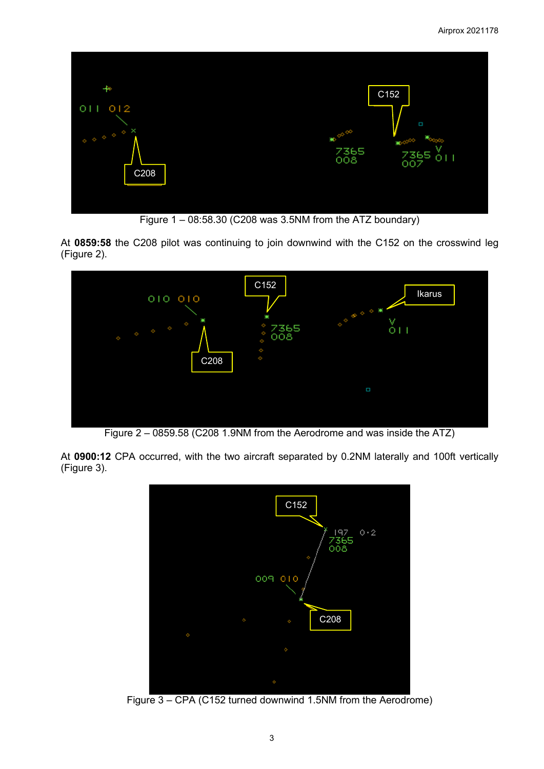

Figure  $1 - 08:58.30$  (C208 was 3.5NM from the ATZ boundary)

At **0859:58** the C208 pilot was continuing to join downwind with the C152 on the crosswind leg (Figure 2).



Figure 2 – 0859.58 (C208 1.9NM from the Aerodrome and was inside the ATZ)

At **0900:12** CPA occurred, with the two aircraft separated by 0.2NM laterally and 100ft vertically (Figure 3).



Figure 3 – CPA (C152 turned downwind 1.5NM from the Aerodrome)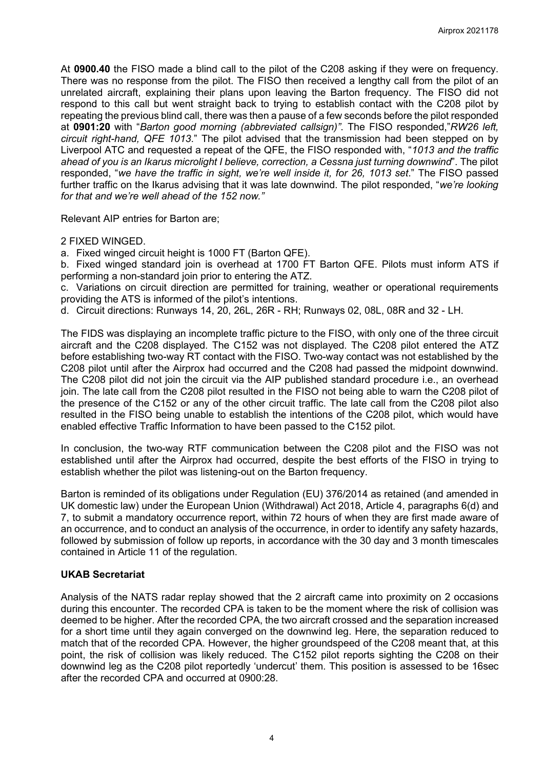At **0900.40** the FISO made a blind call to the pilot of the C208 asking if they were on frequency. There was no response from the pilot. The FISO then received a lengthy call from the pilot of an unrelated aircraft, explaining their plans upon leaving the Barton frequency. The FISO did not respond to this call but went straight back to trying to establish contact with the C208 pilot by repeating the previous blind call, there was then a pause of a few seconds before the pilot responded at **0901:20** with "*Barton good morning (abbreviated callsign)"*. The FISO responded,"*RW26 left, circuit right-hand, QFE 1013*." The pilot advised that the transmission had been stepped on by Liverpool ATC and requested a repeat of the QFE, the FISO responded with, "*1013 and the traffic ahead of you is an Ikarus microlight I believe, correction, a Cessna just turning downwind*". The pilot responded, "*we have the traffic in sight, we're well inside it, for 26, 1013 set*." The FISO passed further traffic on the Ikarus advising that it was late downwind. The pilot responded, "*we're looking for that and we're well ahead of the 152 now."*

Relevant AIP entries for Barton are;

2 FIXED WINGED.

a. Fixed winged circuit height is 1000 FT (Barton QFE).

b. Fixed winged standard join is overhead at 1700 FT Barton QFE. Pilots must inform ATS if performing a non-standard join prior to entering the ATZ.

c. Variations on circuit direction are permitted for training, weather or operational requirements providing the ATS is informed of the pilot's intentions.

d. Circuit directions: Runways 14, 20, 26L, 26R - RH; Runways 02, 08L, 08R and 32 - LH.

The FIDS was displaying an incomplete traffic picture to the FISO, with only one of the three circuit aircraft and the C208 displayed. The C152 was not displayed. The C208 pilot entered the ATZ before establishing two-way RT contact with the FISO. Two-way contact was not established by the C208 pilot until after the Airprox had occurred and the C208 had passed the midpoint downwind. The C208 pilot did not join the circuit via the AIP published standard procedure i.e., an overhead join. The late call from the C208 pilot resulted in the FISO not being able to warn the C208 pilot of the presence of the C152 or any of the other circuit traffic. The late call from the C208 pilot also resulted in the FISO being unable to establish the intentions of the C208 pilot, which would have enabled effective Traffic Information to have been passed to the C152 pilot.

In conclusion, the two-way RTF communication between the C208 pilot and the FISO was not established until after the Airprox had occurred, despite the best efforts of the FISO in trying to establish whether the pilot was listening-out on the Barton frequency.

Barton is reminded of its obligations under Regulation (EU) 376/2014 as retained (and amended in UK domestic law) under the European Union (Withdrawal) Act 2018, Article 4, paragraphs 6(d) and 7, to submit a mandatory occurrence report, within 72 hours of when they are first made aware of an occurrence, and to conduct an analysis of the occurrence, in order to identify any safety hazards, followed by submission of follow up reports, in accordance with the 30 day and 3 month timescales contained in Article 11 of the regulation.

# **UKAB Secretariat**

Analysis of the NATS radar replay showed that the 2 aircraft came into proximity on 2 occasions during this encounter. The recorded CPA is taken to be the moment where the risk of collision was deemed to be higher. After the recorded CPA, the two aircraft crossed and the separation increased for a short time until they again converged on the downwind leg. Here, the separation reduced to match that of the recorded CPA. However, the higher groundspeed of the C208 meant that, at this point, the risk of collision was likely reduced. The C152 pilot reports sighting the C208 on their downwind leg as the C208 pilot reportedly 'undercut' them. This position is assessed to be 16sec after the recorded CPA and occurred at 0900:28.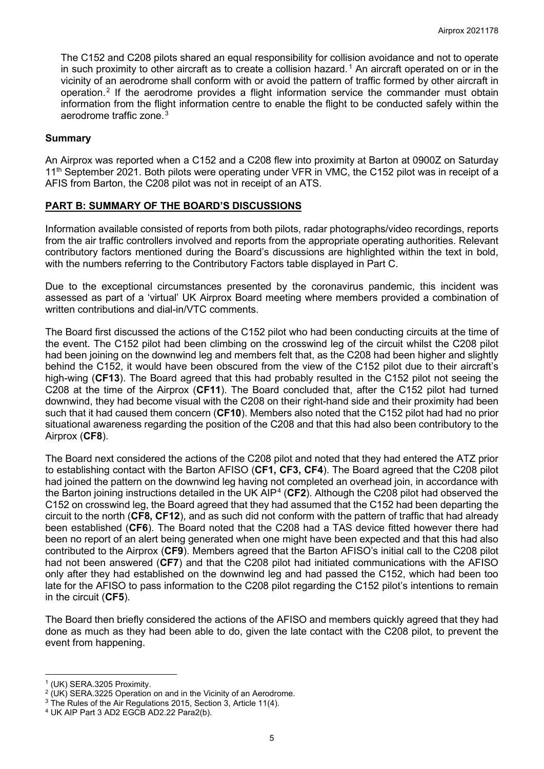The C152 and C208 pilots shared an equal responsibility for collision avoidance and not to operate in such proximity to other aircraft as to create a collision hazard.<sup>[1](#page-4-0)</sup> An aircraft operated on or in the vicinity of an aerodrome shall conform with or avoid the pattern of traffic formed by other aircraft in operation.[2](#page-4-1) If the aerodrome provides a flight information service the commander must obtain information from the flight information centre to enable the flight to be conducted safely within the aerodrome traffic zone.<sup>[3](#page-4-2)</sup>

#### **Summary**

An Airprox was reported when a C152 and a C208 flew into proximity at Barton at 0900Z on Saturday 11<sup>th</sup> September 2021. Both pilots were operating under VFR in VMC, the C152 pilot was in receipt of a AFIS from Barton, the C208 pilot was not in receipt of an ATS.

#### **PART B: SUMMARY OF THE BOARD'S DISCUSSIONS**

Information available consisted of reports from both pilots, radar photographs/video recordings, reports from the air traffic controllers involved and reports from the appropriate operating authorities. Relevant contributory factors mentioned during the Board's discussions are highlighted within the text in bold, with the numbers referring to the Contributory Factors table displayed in Part C.

Due to the exceptional circumstances presented by the coronavirus pandemic, this incident was assessed as part of a 'virtual' UK Airprox Board meeting where members provided a combination of written contributions and dial-in/VTC comments.

The Board first discussed the actions of the C152 pilot who had been conducting circuits at the time of the event. The C152 pilot had been climbing on the crosswind leg of the circuit whilst the C208 pilot had been joining on the downwind leg and members felt that, as the C208 had been higher and slightly behind the C152, it would have been obscured from the view of the C152 pilot due to their aircraft's high-wing (**CF13**). The Board agreed that this had probably resulted in the C152 pilot not seeing the C208 at the time of the Airprox (**CF11**). The Board concluded that, after the C152 pilot had turned downwind, they had become visual with the C208 on their right-hand side and their proximity had been such that it had caused them concern (**CF10**). Members also noted that the C152 pilot had had no prior situational awareness regarding the position of the C208 and that this had also been contributory to the Airprox (**CF8**).

The Board next considered the actions of the C208 pilot and noted that they had entered the ATZ prior to establishing contact with the Barton AFISO (**CF1, CF3, CF4**). The Board agreed that the C208 pilot had joined the pattern on the downwind leg having not completed an overhead join, in accordance with the Barton joining instructions detailed in the UK AIP[4](#page-4-3) (**CF2**). Although the C208 pilot had observed the C152 on crosswind leg, the Board agreed that they had assumed that the C152 had been departing the circuit to the north (**CF8, CF12**), and as such did not conform with the pattern of traffic that had already been established (**CF6**). The Board noted that the C208 had a TAS device fitted however there had been no report of an alert being generated when one might have been expected and that this had also contributed to the Airprox (**CF9**). Members agreed that the Barton AFISO's initial call to the C208 pilot had not been answered (**CF7**) and that the C208 pilot had initiated communications with the AFISO only after they had established on the downwind leg and had passed the C152, which had been too late for the AFISO to pass information to the C208 pilot regarding the C152 pilot's intentions to remain in the circuit (**CF5**).

The Board then briefly considered the actions of the AFISO and members quickly agreed that they had done as much as they had been able to do, given the late contact with the C208 pilot, to prevent the event from happening.

<span id="page-4-1"></span><span id="page-4-0"></span><sup>&</sup>lt;sup>1</sup> (UK) SERA.3205 Proximity.<br><sup>2</sup> (UK) SERA.3225 Operation on and in the Vicinity of an Aerodrome.

<span id="page-4-2"></span><sup>&</sup>lt;sup>3</sup> The Rules of the Air Regulations 2015, Section 3, Article 11(4).  $4$  UK AIP Part 3 AD2 EGCB AD2.22 Para2(b).

<span id="page-4-3"></span>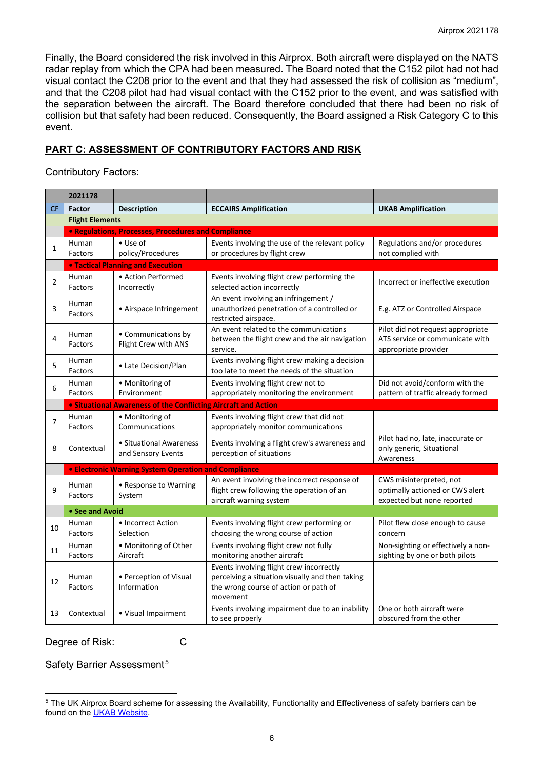Finally, the Board considered the risk involved in this Airprox. Both aircraft were displayed on the NATS radar replay from which the CPA had been measured. The Board noted that the C152 pilot had not had visual contact the C208 prior to the event and that they had assessed the risk of collision as "medium", and that the C208 pilot had had visual contact with the C152 prior to the event, and was satisfied with the separation between the aircraft. The Board therefore concluded that there had been no risk of collision but that safety had been reduced. Consequently, the Board assigned a Risk Category C to this event.

# **PART C: ASSESSMENT OF CONTRIBUTORY FACTORS AND RISK**

### Contributory Factors:

|                | 2021178                                  |                                                                |                                                                                                                                                  |                                                                                              |  |  |  |  |  |
|----------------|------------------------------------------|----------------------------------------------------------------|--------------------------------------------------------------------------------------------------------------------------------------------------|----------------------------------------------------------------------------------------------|--|--|--|--|--|
| <b>CF</b>      | <b>Factor</b>                            | <b>Description</b>                                             | <b>ECCAIRS Amplification</b>                                                                                                                     | <b>UKAB Amplification</b>                                                                    |  |  |  |  |  |
|                | <b>Flight Elements</b>                   |                                                                |                                                                                                                                                  |                                                                                              |  |  |  |  |  |
|                |                                          | • Regulations, Processes, Procedures and Compliance            |                                                                                                                                                  |                                                                                              |  |  |  |  |  |
| $\mathbf{1}$   | Human<br>Factors                         | $\bullet$ Use of<br>policy/Procedures                          | Events involving the use of the relevant policy<br>or procedures by flight crew                                                                  | Regulations and/or procedures<br>not complied with                                           |  |  |  |  |  |
|                | <b>. Tactical Planning and Execution</b> |                                                                |                                                                                                                                                  |                                                                                              |  |  |  |  |  |
| $\overline{2}$ | Human<br>Factors                         | • Action Performed<br>Incorrectly                              | Events involving flight crew performing the<br>selected action incorrectly                                                                       | Incorrect or ineffective execution                                                           |  |  |  |  |  |
| 3              | Human<br>Factors                         | • Airspace Infringement                                        | An event involving an infringement /<br>unauthorized penetration of a controlled or<br>restricted airspace.                                      | E.g. ATZ or Controlled Airspace                                                              |  |  |  |  |  |
| 4              | Human<br>Factors                         | • Communications by<br>Flight Crew with ANS                    | An event related to the communications<br>between the flight crew and the air navigation<br>service.                                             | Pilot did not request appropriate<br>ATS service or communicate with<br>appropriate provider |  |  |  |  |  |
| 5              | Human<br>Factors                         | • Late Decision/Plan                                           | Events involving flight crew making a decision<br>too late to meet the needs of the situation                                                    |                                                                                              |  |  |  |  |  |
| 6              | Human<br>Factors                         | • Monitoring of<br>Environment                                 | Events involving flight crew not to<br>appropriately monitoring the environment                                                                  | Did not avoid/conform with the<br>pattern of traffic already formed                          |  |  |  |  |  |
|                |                                          | • Situational Awareness of the Conflicting Aircraft and Action |                                                                                                                                                  |                                                                                              |  |  |  |  |  |
| 7              | Human<br>Factors                         | • Monitoring of<br>Communications                              | Events involving flight crew that did not<br>appropriately monitor communications                                                                |                                                                                              |  |  |  |  |  |
| 8              | Contextual                               | • Situational Awareness<br>and Sensory Events                  | Events involving a flight crew's awareness and<br>perception of situations                                                                       | Pilot had no, late, inaccurate or<br>only generic, Situational<br>Awareness                  |  |  |  |  |  |
|                |                                          | <b>• Electronic Warning System Operation and Compliance</b>    |                                                                                                                                                  |                                                                                              |  |  |  |  |  |
| 9              | Human<br>Factors                         | • Response to Warning<br>System                                | An event involving the incorrect response of<br>flight crew following the operation of an<br>aircraft warning system                             | CWS misinterpreted, not<br>optimally actioned or CWS alert<br>expected but none reported     |  |  |  |  |  |
|                | • See and Avoid                          |                                                                |                                                                                                                                                  |                                                                                              |  |  |  |  |  |
| 10             | Human<br>Factors                         | • Incorrect Action<br>Selection                                | Events involving flight crew performing or<br>choosing the wrong course of action                                                                | Pilot flew close enough to cause<br>concern                                                  |  |  |  |  |  |
| 11             | Human<br>Factors                         | • Monitoring of Other<br>Aircraft                              | Events involving flight crew not fully<br>monitoring another aircraft                                                                            | Non-sighting or effectively a non-<br>sighting by one or both pilots                         |  |  |  |  |  |
| 12             | Human<br>Factors                         | • Perception of Visual<br>Information                          | Events involving flight crew incorrectly<br>perceiving a situation visually and then taking<br>the wrong course of action or path of<br>movement |                                                                                              |  |  |  |  |  |
| 13             | Contextual                               | • Visual Impairment                                            | Events involving impairment due to an inability                                                                                                  | One or both aircraft were                                                                    |  |  |  |  |  |

#### Degree of Risk: C

# Safety Barrier Assessment<sup>[5](#page-5-0)</sup>

<span id="page-5-0"></span><sup>5</sup> The UK Airprox Board scheme for assessing the Availability, Functionality and Effectiveness of safety barriers can be found on the **UKAB Website**.